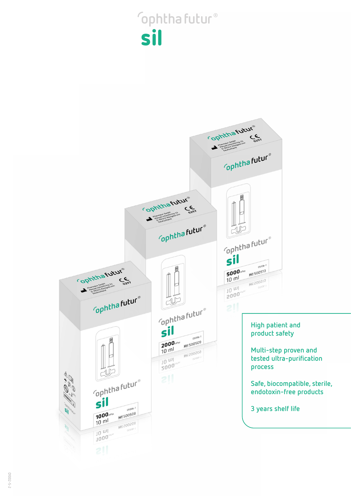## **ophthafutur®** sil